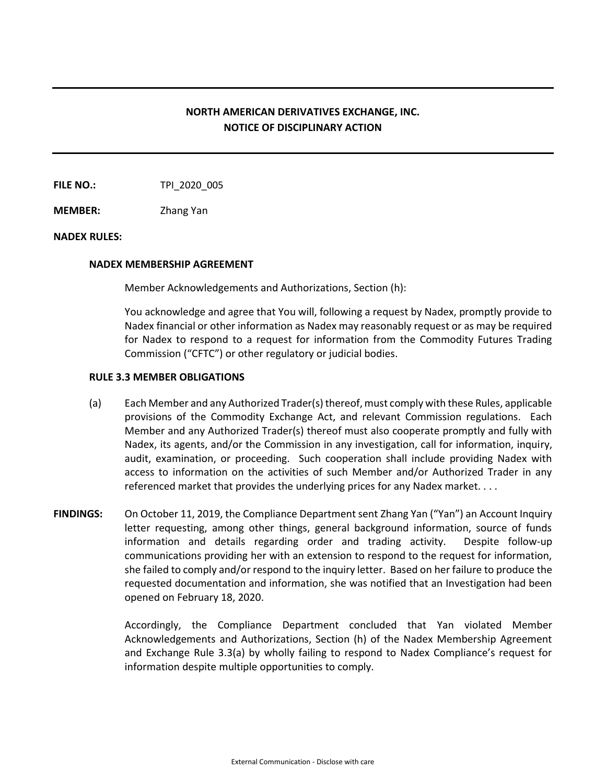## **NORTH AMERICAN DERIVATIVES EXCHANGE, INC. NOTICE OF DISCIPLINARY ACTION**

**FILE NO.:** TPI 2020 005

**MEMBER:** Zhang Yan

## **NADEX RULES:**

## **NADEX MEMBERSHIP AGREEMENT**

Member Acknowledgements and Authorizations, Section (h):

You acknowledge and agree that You will, following a request by Nadex, promptly provide to Nadex financial or other information as Nadex may reasonably request or as may be required for Nadex to respond to a request for information from the Commodity Futures Trading Commission ("CFTC") or other regulatory or judicial bodies.

## **RULE 3.3 MEMBER OBLIGATIONS**

- (a) Each Member and any Authorized Trader(s) thereof, must comply with these Rules, applicable provisions of the Commodity Exchange Act, and relevant Commission regulations. Each Member and any Authorized Trader(s) thereof must also cooperate promptly and fully with Nadex, its agents, and/or the Commission in any investigation, call for information, inquiry, audit, examination, or proceeding. Such cooperation shall include providing Nadex with access to information on the activities of such Member and/or Authorized Trader in any referenced market that provides the underlying prices for any Nadex market. . . .
- **FINDINGS:** On October 11, 2019, the Compliance Department sent Zhang Yan ("Yan") an Account Inquiry letter requesting, among other things, general background information, source of funds information and details regarding order and trading activity. Despite follow-up communications providing her with an extension to respond to the request for information, she failed to comply and/or respond to the inquiry letter. Based on her failure to produce the requested documentation and information, she was notified that an Investigation had been opened on February 18, 2020.

Accordingly, the Compliance Department concluded that Yan violated Member Acknowledgements and Authorizations, Section (h) of the Nadex Membership Agreement and Exchange Rule 3.3(a) by wholly failing to respond to Nadex Compliance's request for information despite multiple opportunities to comply.